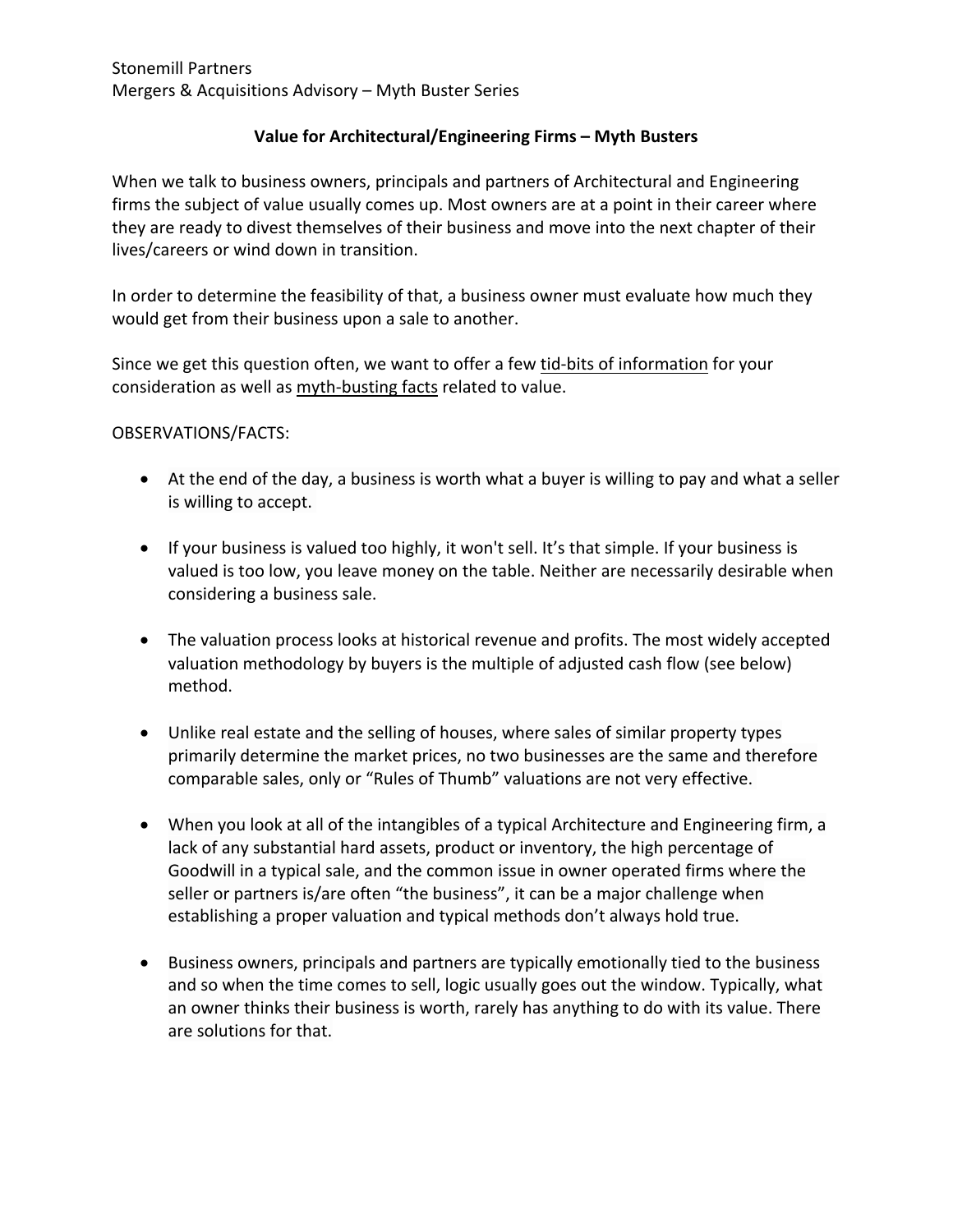## **Value for Architectural/Engineering Firms – Myth Busters**

When we talk to business owners, principals and partners of Architectural and Engineering firms the subject of value usually comes up. Most owners are at a point in their career where they are ready to divest themselves of their business and move into the next chapter of their lives/careers or wind down in transition.

In order to determine the feasibility of that, a business owner must evaluate how much they would get from their business upon a sale to another.

Since we get this question often, we want to offer a few tid-bits of information for your consideration as well as myth-busting facts related to value.

## OBSERVATIONS/FACTS:

- At the end of the day, a business is worth what a buyer is willing to pay and what a seller is willing to accept.
- If your business is valued too highly, it won't sell. It's that simple. If your business is valued is too low, you leave money on the table. Neither are necessarily desirable when considering a business sale.
- The valuation process looks at historical revenue and profits. The most widely accepted valuation methodology by buyers is the multiple of adjusted cash flow (see below) method.
- Unlike real estate and the selling of houses, where sales of similar property types primarily determine the market prices, no two businesses are the same and therefore comparable sales, only or "Rules of Thumb" valuations are not very effective.
- When you look at all of the intangibles of a typical Architecture and Engineering firm, a lack of any substantial hard assets, product or inventory, the high percentage of Goodwill in a typical sale, and the common issue in owner operated firms where the seller or partners is/are often "the business", it can be a major challenge when establishing a proper valuation and typical methods don't always hold true.
- Business owners, principals and partners are typically emotionally tied to the business and so when the time comes to sell, logic usually goes out the window. Typically, what an owner thinks their business is worth, rarely has anything to do with its value. There are solutions for that.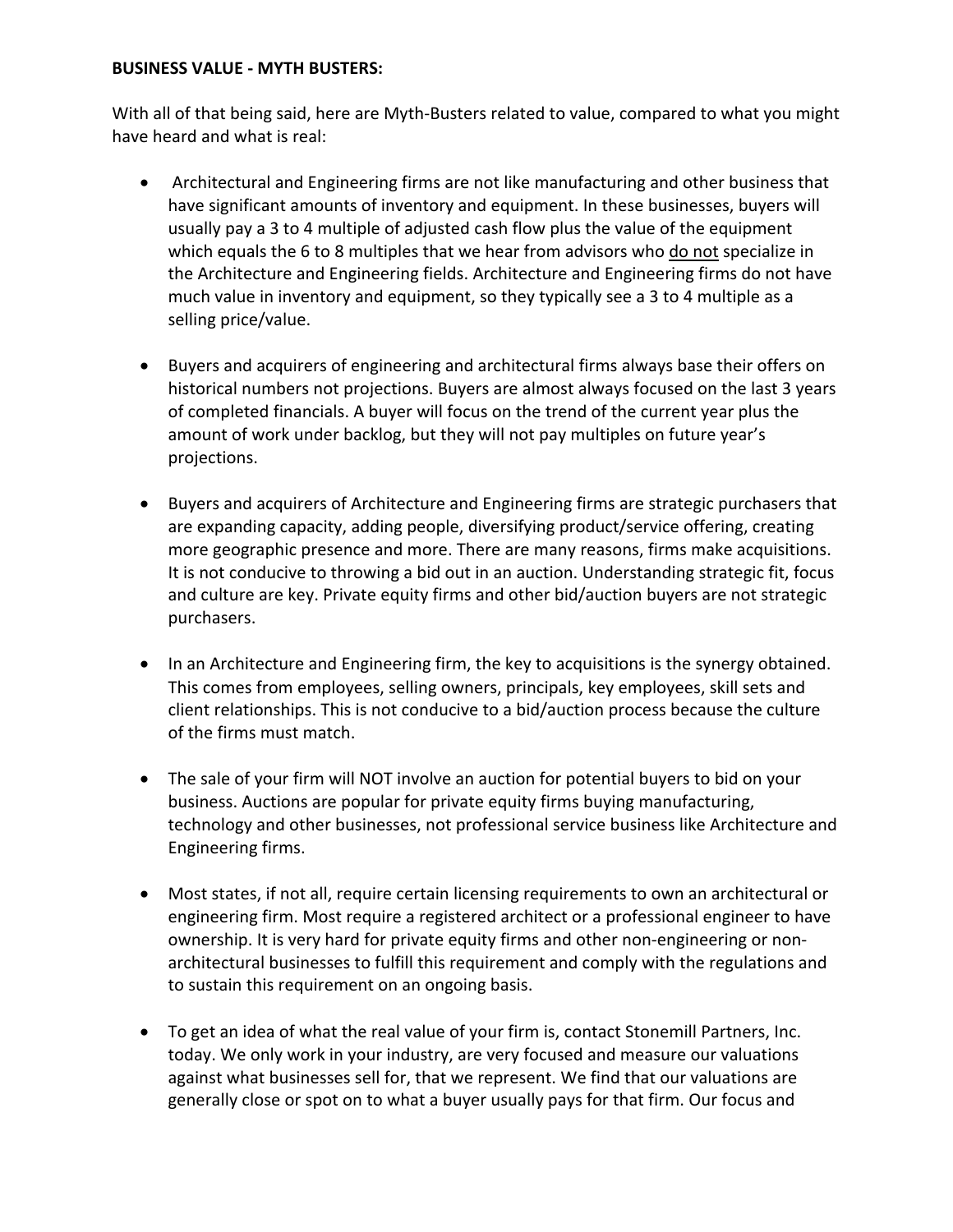## **BUSINESS VALUE - MYTH BUSTERS:**

With all of that being said, here are Myth-Busters related to value, compared to what you might have heard and what is real:

- Architectural and Engineering firms are not like manufacturing and other business that have significant amounts of inventory and equipment. In these businesses, buyers will usually pay a 3 to 4 multiple of adjusted cash flow plus the value of the equipment which equals the 6 to 8 multiples that we hear from advisors who do not specialize in the Architecture and Engineering fields. Architecture and Engineering firms do not have much value in inventory and equipment, so they typically see a 3 to 4 multiple as a selling price/value.
- Buyers and acquirers of engineering and architectural firms always base their offers on historical numbers not projections. Buyers are almost always focused on the last 3 years of completed financials. A buyer will focus on the trend of the current year plus the amount of work under backlog, but they will not pay multiples on future year's projections.
- Buyers and acquirers of Architecture and Engineering firms are strategic purchasers that are expanding capacity, adding people, diversifying product/service offering, creating more geographic presence and more. There are many reasons, firms make acquisitions. It is not conducive to throwing a bid out in an auction. Understanding strategic fit, focus and culture are key. Private equity firms and other bid/auction buyers are not strategic purchasers.
- In an Architecture and Engineering firm, the key to acquisitions is the synergy obtained. This comes from employees, selling owners, principals, key employees, skill sets and client relationships. This is not conducive to a bid/auction process because the culture of the firms must match.
- The sale of your firm will NOT involve an auction for potential buyers to bid on your business. Auctions are popular for private equity firms buying manufacturing, technology and other businesses, not professional service business like Architecture and Engineering firms.
- Most states, if not all, require certain licensing requirements to own an architectural or engineering firm. Most require a registered architect or a professional engineer to have ownership. It is very hard for private equity firms and other non-engineering or nonarchitectural businesses to fulfill this requirement and comply with the regulations and to sustain this requirement on an ongoing basis.
- To get an idea of what the real value of your firm is, contact Stonemill Partners, Inc. today. We only work in your industry, are very focused and measure our valuations against what businesses sell for, that we represent. We find that our valuations are generally close or spot on to what a buyer usually pays for that firm. Our focus and